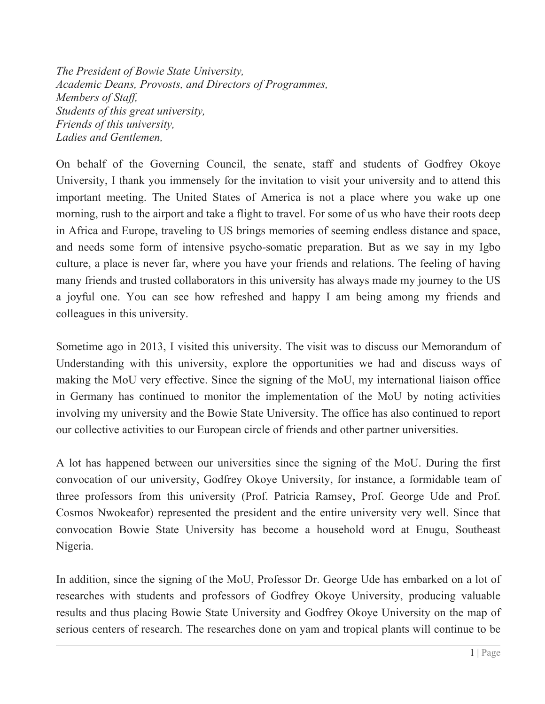*The President of Bowie State University, Academic Deans, Provosts, and Directors of Programmes, Members of Staff, Students of this great university, Friends of this university, Ladies and Gentlemen,*

On behalf of the Governing Council, the senate, staff and students of Godfrey Okoye University, I thank you immensely for the invitation to visit your university and to attend this important meeting. The United States of America is not a place where you wake up one morning, rush to the airport and take a flight to travel. For some of us who have their roots deep in Africa and Europe, traveling to US brings memories of seeming endless distance and space, and needs some form of intensive psycho-somatic preparation. But as we say in my Igbo culture, a place is never far, where you have your friends and relations. The feeling of having many friends and trusted collaborators in this university has always made my journey to the US a joyful one. You can see how refreshed and happy I am being among my friends and colleagues in this university.

Sometime ago in 2013, I visited this university. The visit was to discuss our Memorandum of Understanding with this university, explore the opportunities we had and discuss ways of making the MoU very effective. Since the signing of the MoU, my international liaison office in Germany has continued to monitor the implementation of the MoU by noting activities involving my university and the Bowie State University. The office has also continued to report our collective activities to our European circle of friends and other partner universities.

A lot has happened between our universities since the signing of the MoU. During the first convocation of our university, Godfrey Okoye University, for instance, a formidable team of three professors from this university (Prof. Patricia Ramsey, Prof. George Ude and Prof. Cosmos Nwokeafor) represented the president and the entire university very well. Since that convocation Bowie State University has become a household word at Enugu, Southeast Nigeria.

In addition, since the signing of the MoU, Professor Dr. George Ude has embarked on a lot of researches with students and professors of Godfrey Okoye University, producing valuable results and thus placing Bowie State University and Godfrey Okoye University on the map of serious centers of research. The researches done on yam and tropical plants will continue to be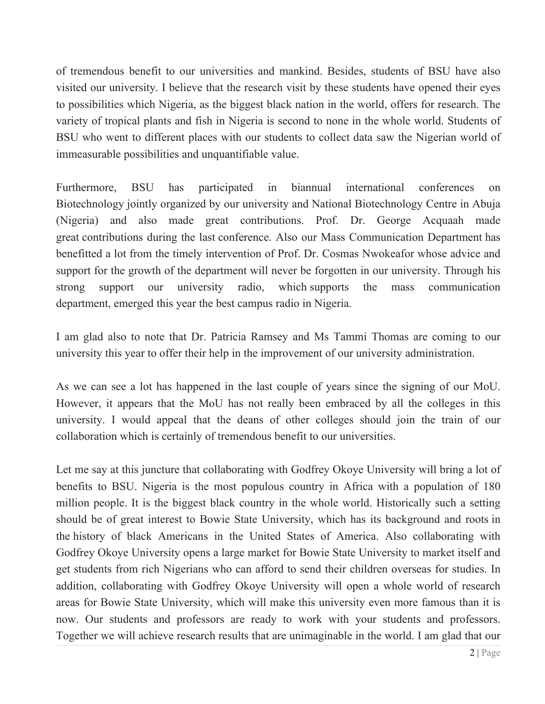of tremendous benefit to our universities and mankind. Besides, students of BSU have also visited our university. I believe that the research visit by these students have opened their eyes to possibilities which Nigeria, as the biggest black nation in the world, offers for research. The variety of tropical plants and fish in Nigeria is second to none in the whole world. Students of BSU who went to different places with our students to collect data saw the Nigerian world of immeasurable possibilities and unquantifiable value.

Furthermore, BSU has participated in biannual international conferences on Biotechnology jointly organized by our university and National Biotechnology Centre in Abuja (Nigeria) and also made great contributions. Prof. Dr. George Acquaah made great contributions during the last conference. Also our Mass Communication Department has benefitted a lot from the timely intervention of Prof. Dr. Cosmas Nwokeafor whose advice and support for the growth of the department will never be forgotten in our university. Through his strong support our university radio, which supports the mass communication department, emerged this year the best campus radio in Nigeria.

I am glad also to note that Dr. Patricia Ramsey and Ms Tammi Thomas are coming to our university this year to offer their help in the improvement of our university administration.

As we can see a lot has happened in the last couple of years since the signing of our MoU. However, it appears that the MoU has not really been embraced by all the colleges in this university. I would appeal that the deans of other colleges should join the train of our collaboration which is certainly of tremendous benefit to our universities.

Let me say at this juncture that collaborating with Godfrey Okoye University will bring a lot of benefits to BSU. Nigeria is the most populous country in Africa with a population of 180 million people. It is the biggest black country in the whole world. Historically such a setting should be of great interest to Bowie State University, which has its background and roots in the history of black Americans in the United States of America. Also collaborating with Godfrey Okoye University opens a large market for Bowie State University to market itself and get students from rich Nigerians who can afford to send their children overseas for studies. In addition, collaborating with Godfrey Okoye University will open a whole world of research areas for Bowie State University, which will make this university even more famous than it is now. Our students and professors are ready to work with your students and professors. Together we will achieve research results that are unimaginable in the world. I am glad that our